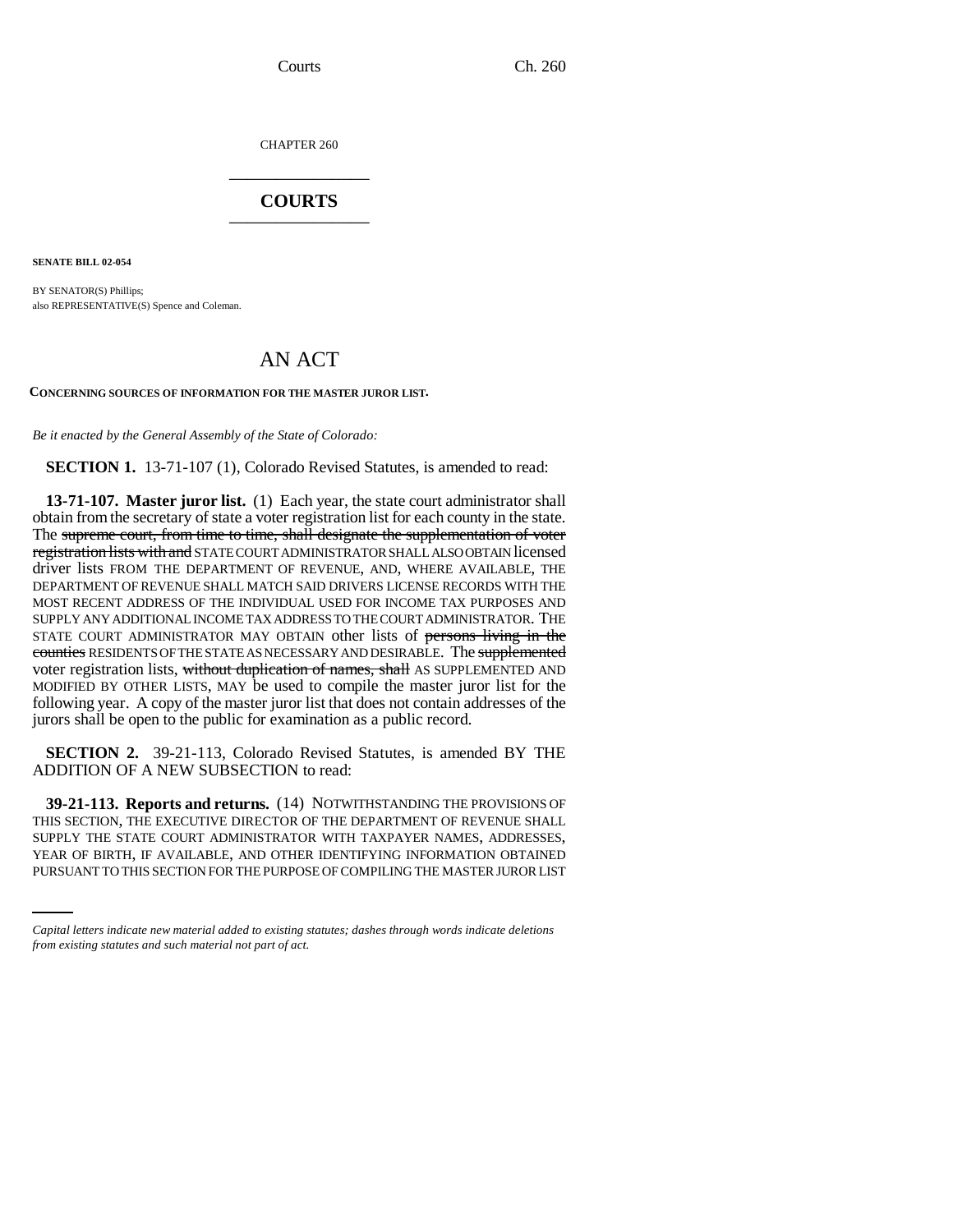CHAPTER 260 \_\_\_\_\_\_\_\_\_\_\_\_\_\_\_

## **COURTS** \_\_\_\_\_\_\_\_\_\_\_\_\_\_\_

**SENATE BILL 02-054**

BY SENATOR(S) Phillips; also REPRESENTATIVE(S) Spence and Coleman.

## AN ACT

**CONCERNING SOURCES OF INFORMATION FOR THE MASTER JUROR LIST.**

*Be it enacted by the General Assembly of the State of Colorado:*

**SECTION 1.** 13-71-107 (1), Colorado Revised Statutes, is amended to read:

**13-71-107. Master juror list.** (1) Each year, the state court administrator shall obtain from the secretary of state a voter registration list for each county in the state. The supreme court, from time to time, shall designate the supplementation of voter registration lists with and STATE COURT ADMINISTRATOR SHALL ALSO OBTAIN licensed driver lists FROM THE DEPARTMENT OF REVENUE, AND, WHERE AVAILABLE, THE DEPARTMENT OF REVENUE SHALL MATCH SAID DRIVERS LICENSE RECORDS WITH THE MOST RECENT ADDRESS OF THE INDIVIDUAL USED FOR INCOME TAX PURPOSES AND SUPPLY ANY ADDITIONAL INCOME TAX ADDRESS TO THE COURT ADMINISTRATOR. THE STATE COURT ADMINISTRATOR MAY OBTAIN other lists of persons living in the counties RESIDENTS OF THE STATE AS NECESSARY AND DESIRABLE. The supplemented voter registration lists, without duplication of names, shall AS SUPPLEMENTED AND MODIFIED BY OTHER LISTS, MAY be used to compile the master juror list for the following year. A copy of the master juror list that does not contain addresses of the jurors shall be open to the public for examination as a public record.

**SECTION 2.** 39-21-113, Colorado Revised Statutes, is amended BY THE ADDITION OF A NEW SUBSECTION to read:

SUPPLY THE STATE COURT ADMINISTRATOR WITH TAXPAYER NAMES, ADDRESSES, **39-21-113. Reports and returns.** (14) NOTWITHSTANDING THE PROVISIONS OF THIS SECTION, THE EXECUTIVE DIRECTOR OF THE DEPARTMENT OF REVENUE SHALL YEAR OF BIRTH, IF AVAILABLE, AND OTHER IDENTIFYING INFORMATION OBTAINED PURSUANT TO THIS SECTION FOR THE PURPOSE OF COMPILING THE MASTER JUROR LIST

*Capital letters indicate new material added to existing statutes; dashes through words indicate deletions from existing statutes and such material not part of act.*